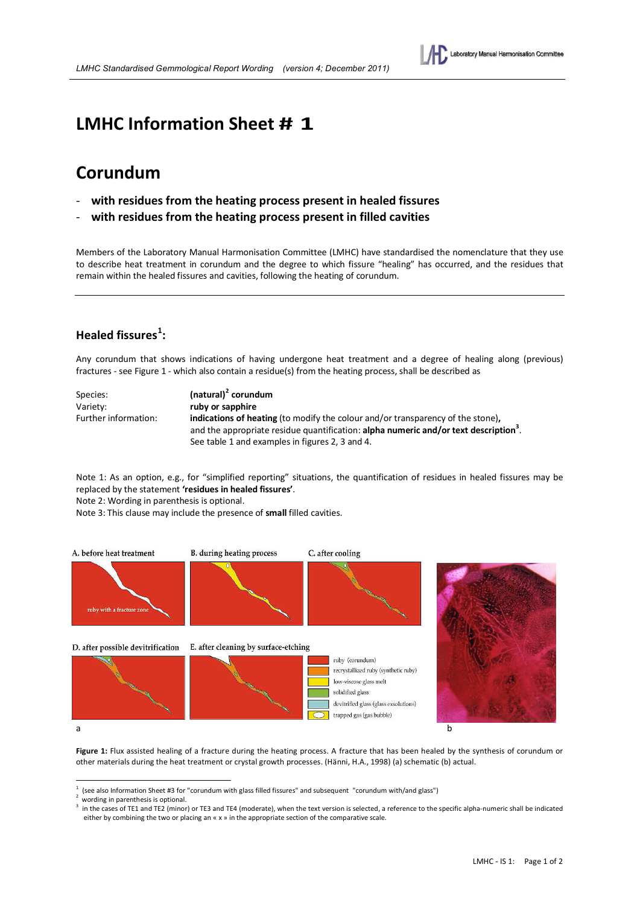

# **LMHC Information Sheet # 1**

# **Corundum**

- **with residues from the heating process present in healed fissures**
- **with residues from the heating process present in filled cavities**

Members of the Laboratory Manual Harmonisation Committee (LMHC) have standardised the nomenclature that they use to describe heat treatment in corundum and the degree to which fissure "healing" has occurred, and the residues that remain within the healed fissures and cavities, following the heating of corundum.

### **Healed fissures<sup>1</sup> :**

Any corundum that shows indications of having undergone heat treatment and a degree of healing along (previous) fractures - see Figure 1 - which also contain a residue(s) from the heating process, shall be described as

| Species:             | $(natural)2$ corundum                                                                            |  |  |  |
|----------------------|--------------------------------------------------------------------------------------------------|--|--|--|
| Variety:             | ruby or sapphire                                                                                 |  |  |  |
| Further information: | <b>indications of heating</b> (to modify the colour and/or transparency of the stone),           |  |  |  |
|                      | and the appropriate residue quantification: alpha numeric and/or text description <sup>3</sup> . |  |  |  |
|                      | See table 1 and examples in figures 2, 3 and 4.                                                  |  |  |  |

Note 1: As an option, e.g., for "simplified reporting" situations, the quantification of residues in healed fissures may be replaced by the statement **'residues in healed fissures'**.

Note 2: Wording in parenthesis is optional.

Note 3: This clause may include the presence of **small** filled cavities.



Figure 1: Flux assisted healing of a fracture during the heating process. A fracture that has been healed by the synthesis of corundum or other materials during the heat treatment or crystal growth processes. (Hänni, H.A., 1998) (a) schematic (b) actual.

<sup>-</sup>1 (see also Information Sheet #3 for "corundum with glass filled fissures" and subsequent "corundum with/and glass")<br>wording in parenthesis is optional.

 $^{\epsilon}$  wording in parenthesis is optional.<br><sup>3</sup> in the cases of TE1 and TE2 (minor) or TE3 and TE4 (moderate), when the text version is selected, a reference to the specific alpha-numeric shall be indicated either by combining the two or placing an « x » in the appropriate section of the comparative scale.